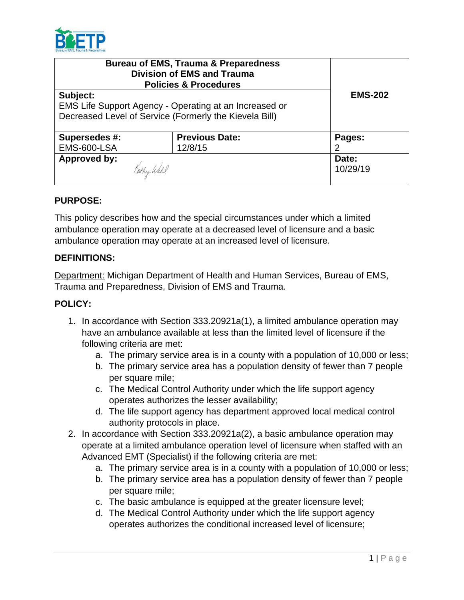

| <b>Bureau of EMS, Trauma &amp; Preparedness</b><br><b>Division of EMS and Trauma</b><br><b>Policies &amp; Procedures</b> |                       |                |
|--------------------------------------------------------------------------------------------------------------------------|-----------------------|----------------|
| Subject:                                                                                                                 |                       | <b>EMS-202</b> |
| EMS Life Support Agency - Operating at an Increased or                                                                   |                       |                |
| Decreased Level of Service (Formerly the Kievela Bill)                                                                   |                       |                |
|                                                                                                                          |                       |                |
| Supersedes #:                                                                                                            | <b>Previous Date:</b> | Pages:         |
| <b>EMS-600-LSA</b>                                                                                                       | 12/8/15               | 2              |
| <b>Approved by:</b>                                                                                                      |                       | Date:          |
| Bathy Wahl                                                                                                               |                       | 10/29/19       |
|                                                                                                                          |                       |                |

### **PURPOSE:**

This policy describes how and the special circumstances under which a limited ambulance operation may operate at a decreased level of licensure and a basic ambulance operation may operate at an increased level of licensure.

### **DEFINITIONS:**

Department: Michigan Department of Health and Human Services, Bureau of EMS, Trauma and Preparedness, Division of EMS and Trauma.

## **POLICY:**

- 1. In accordance with Section 333.20921a(1), a limited ambulance operation may have an ambulance available at less than the limited level of licensure if the following criteria are met:
	- a. The primary service area is in a county with a population of 10,000 or less;
	- b. The primary service area has a population density of fewer than 7 people per square mile;
	- c. The Medical Control Authority under which the life support agency operates authorizes the lesser availability;
	- d. The life support agency has department approved local medical control authority protocols in place.
- 2. In accordance with Section 333.20921a(2), a basic ambulance operation may operate at a limited ambulance operation level of licensure when staffed with an Advanced EMT (Specialist) if the following criteria are met:
	- a. The primary service area is in a county with a population of 10,000 or less;
	- b. The primary service area has a population density of fewer than 7 people per square mile;
	- c. The basic ambulance is equipped at the greater licensure level;
	- d. The Medical Control Authority under which the life support agency operates authorizes the conditional increased level of licensure;